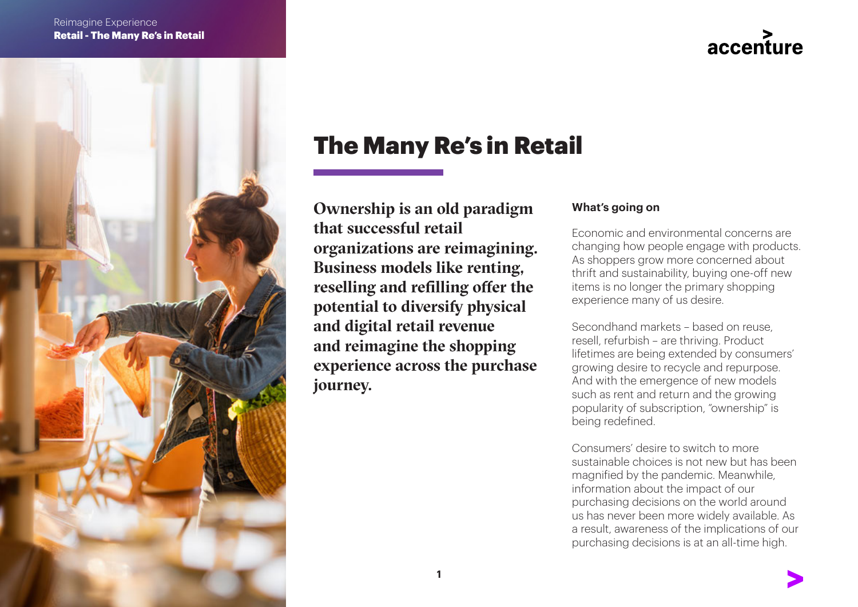

# accenture

# The Many Re's in Retail

Ownership is an old paradigm that successful retail organizations are reimagining. Business models like renting, reselling and refilling offer the potential to diversify physical and digital retail revenue and reimagine the shopping experience across the purchase journey.

### **What's going on**

Economic and environmental concerns are changing how people engage with products. As shoppers grow more concerned about thrift and sustainability, buying one-off new items is no longer the primary shopping experience many of us desire.

Secondhand markets – based on reuse, resell, refurbish – are thriving. Product lifetimes are being extended by consumers' growing desire to recycle and repurpose. And with the emergence of new models such as rent and return and the growing popularity of subscription, "ownership" is being redefined.

Consumers' desire to switch to more sustainable choices is not new but has been magnified by the pandemic. Meanwhile, information about the impact of our purchasing decisions on the world around us has never been more widely available. As a result, awareness of the implications of our purchasing decisions is at an all-time high.

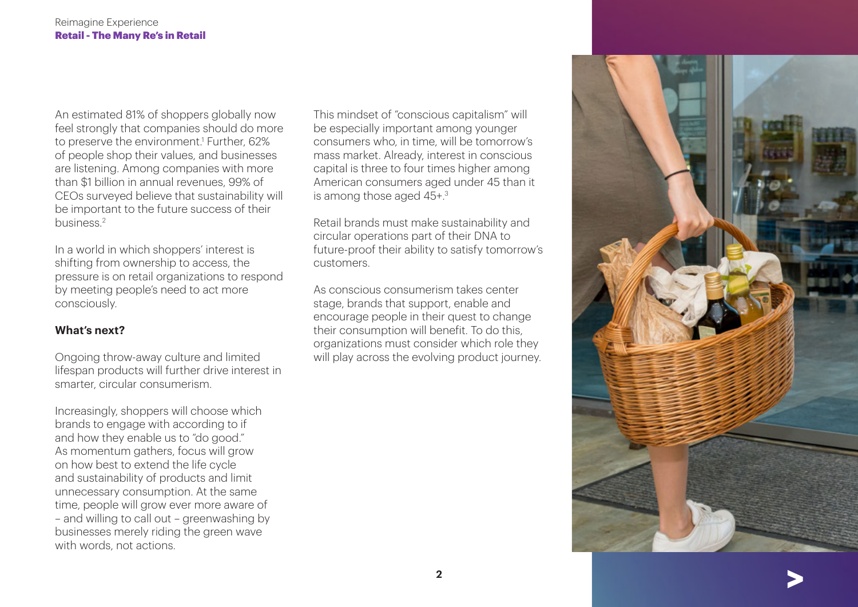An estimated 81% of shoppers globally now feel strongly that companies should do more to preserve the environment.1 Further, 62% of people shop their values, and businesses are listening. Among companies with more than \$1 billion in annual revenues, 99% of CEOs surveyed believe that sustainability will be important to the future success of their business.2

In a world in which shoppers' interest is shifting from ownership to access, the pressure is on retail organizations to respond by meeting people's need to act more consciously.

### **What's next?**

Ongoing throw-away culture and limited lifespan products will further drive interest in smarter, circular consumerism.

Increasingly, shoppers will choose which brands to engage with according to if and how they enable us to "do good." As momentum gathers, focus will grow on how best to extend the life cycle and sustainability of products and limit unnecessary consumption. At the same time, people will grow ever more aware of – and willing to call out – greenwashing by businesses merely riding the green wave with words, not actions.

This mindset of "conscious capitalism" will be especially important among younger consumers who, in time, will be tomorrow's mass market. Already, interest in conscious capital is three to four times higher among American consumers aged under 45 than it is among those aged 45+.3

Retail brands must make sustainability and circular operations part of their DNA to future-proof their ability to satisfy tomorrow's customers.

As conscious consumerism takes center stage, brands that support, enable and encourage people in their quest to change their consumption will benefit. To do this, organizations must consider which role they will play across the evolving product journey.

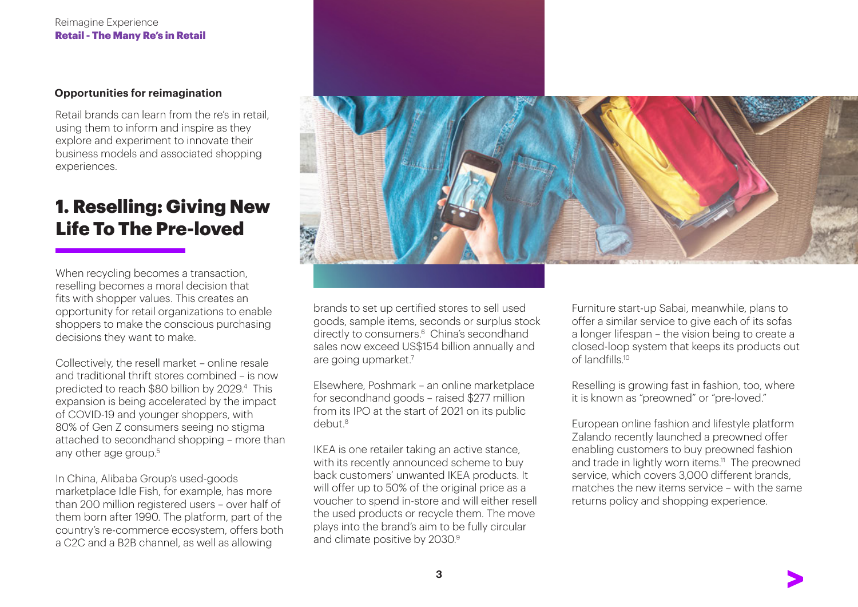#### **Opportunities for reimagination**

Retail brands can learn from the re's in retail, using them to inform and inspire as they explore and experiment to innovate their business models and associated shopping experiences.

### 1. Reselling: Giving New Life To The Pre-loved

When recycling becomes a transaction. reselling becomes a moral decision that fits with shopper values. This creates an opportunity for retail organizations to enable shoppers to make the conscious purchasing decisions they want to make.

Collectively, the resell market – online resale and traditional thrift stores combined – is now predicted to reach \$80 billion by 2029.4 This expansion is being accelerated by the impact of COVID-19 and younger shoppers, with 80% of Gen Z consumers seeing no stigma attached to secondhand shopping – more than any other age group.<sup>5</sup>

In China, Alibaba Group's used-goods marketplace Idle Fish, for example, has more than 200 million registered users – over half of them born after 1990. The platform, part of the country's re-commerce ecosystem, offers both a C2C and a B2B channel, as well as allowing



brands to set up certified stores to sell used goods, sample items, seconds or surplus stock directly to consumers.<sup>6</sup> China's secondhand sales now exceed US\$154 billion annually and are going upmarket.7

Elsewhere, Poshmark – an online marketplace for secondhand goods – raised \$277 million from its IPO at the start of 2021 on its public debut.8

IKEA is one retailer taking an active stance, with its recently announced scheme to buy back customers' unwanted IKEA products. It will offer up to 50% of the original price as a voucher to spend in-store and will either resell the used products or recycle them. The move plays into the brand's aim to be fully circular and climate positive by 2030.<sup>9</sup>

Furniture start-up Sabai, meanwhile, plans to offer a similar service to give each of its sofas a longer lifespan – the vision being to create a closed-loop system that keeps its products out of landfills.<sup>10</sup>

Reselling is growing fast in fashion, too, where it is known as "preowned" or "pre-loved."

European online fashion and lifestyle platform Zalando recently launched a preowned offer enabling customers to buy preowned fashion and trade in lightly worn items.<sup>11</sup> The preowned service, which covers 3,000 different brands, matches the new items service – with the same returns policy and shopping experience.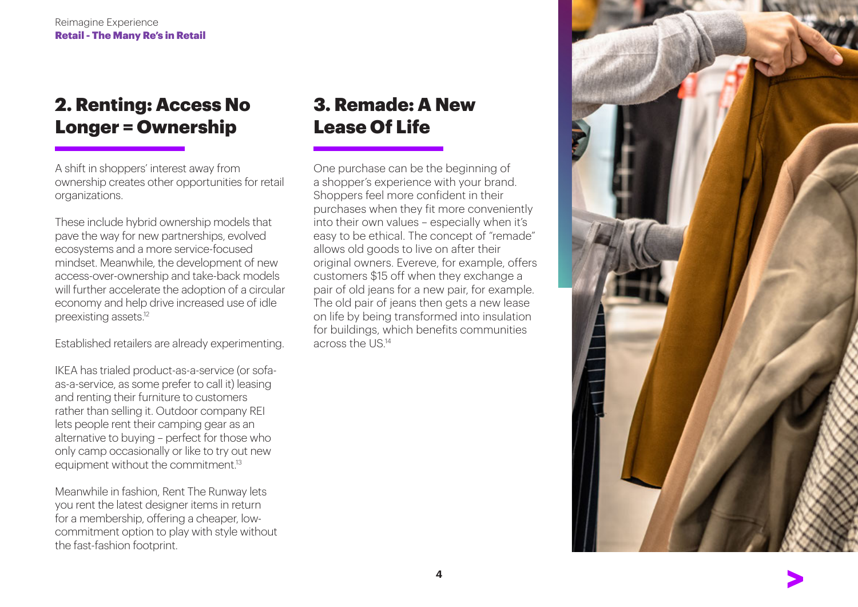## 2. Renting: Access No Longer = Ownership

A shift in shoppers' interest away from ownership creates other opportunities for retail organizations.

These include hybrid ownership models that pave the way for new partnerships, evolved ecosystems and a more service-focused mindset. Meanwhile, the development of new access-over-ownership and take-back models will further accelerate the adoption of a circular economy and help drive increased use of idle preexisting assets.12

Established retailers are already experimenting.

IKEA has trialed product-as-a-service (or sofaas-a-service, as some prefer to call it) leasing and renting their furniture to customers rather than selling it. Outdoor company REI lets people rent their camping gear as an alternative to buying – perfect for those who only camp occasionally or like to try out new equipment without the commitment.<sup>13</sup>

Meanwhile in fashion, Rent The Runway lets you rent the latest designer items in return for a membership, offering a cheaper, lowcommitment option to play with style without the fast-fashion footprint.

# 3. Remade: A New Lease Of Life

One purchase can be the beginning of a shopper's experience with your brand. Shoppers feel more confident in their purchases when they fit more conveniently into their own values – especially when it's easy to be ethical. The concept of "remade" allows old goods to live on after their original owners. Evereve, for example, offers customers \$15 off when they exchange a pair of old jeans for a new pair, for example. The old pair of jeans then gets a new lease on life by being transformed into insulation for buildings, which benefits communities across the US.14

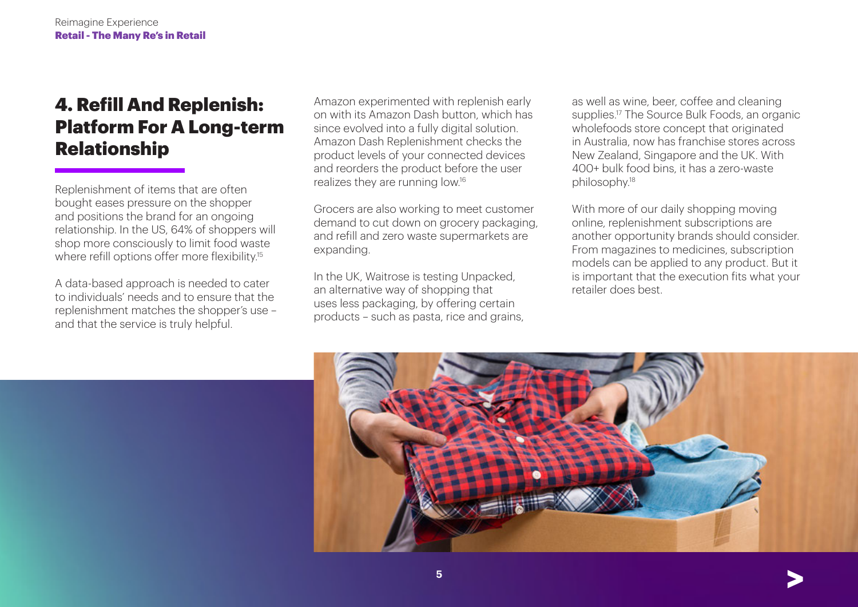## 4. Refill And Replenish: Platform For A Long-term Relationship

Replenishment of items that are often bought eases pressure on the shopper and positions the brand for an ongoing relationship. In the US, 64% of shoppers will shop more consciously to limit food waste where refill options offer more flexibility.<sup>15</sup>

A data-based approach is needed to cater to individuals' needs and to ensure that the replenishment matches the shopper's use – and that the service is truly helpful.

Amazon experimented with replenish early on with its Amazon Dash button, which has since evolved into a fully digital solution. Amazon Dash Replenishment checks the product levels of your connected devices and reorders the product before the user realizes they are running low.16

Grocers are also working to meet customer demand to cut down on grocery packaging, and refill and zero waste supermarkets are expanding.

In the UK, Waitrose is testing Unpacked, an alternative way of shopping that uses less packaging, by offering certain products – such as pasta, rice and grains, as well as wine, beer, coffee and cleaning supplies.<sup>17</sup> The Source Bulk Foods, an organic wholefoods store concept that originated in Australia, now has franchise stores across New Zealand, Singapore and the UK. With 400+ bulk food bins, it has a zero-waste philosophy.18

With more of our daily shopping moving online, replenishment subscriptions are another opportunity brands should consider. From magazines to medicines, subscription models can be applied to any product. But it is important that the execution fits what your retailer does best.



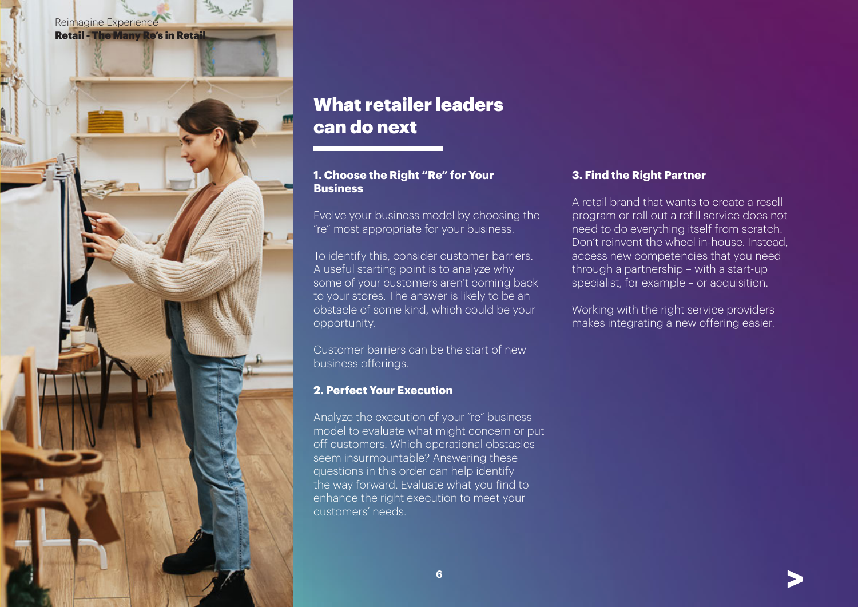

## What retailer leaders can do next

### **1. Choose the Right "Re" for Your Business**

Evolve your business model by choosing the "re" most appropriate for your business.

To identify this, consider customer barriers. A useful starting point is to analyze why some of your customers aren't coming back to your stores. The answer is likely to be an obstacle of some kind, which could be your opportunity.

Customer barriers can be the start of new business offerings.

#### **2. Perfect Your Execution**

Analyze the execution of your "re" business model to evaluate what might concern or put off customers. Which operational obstacles seem insurmountable? Answering these questions in this order can help identify the way forward. Evaluate what you find to enhance the right execution to meet your customers' needs.

### **3. Find the Right Partner**

A retail brand that wants to create a resell program or roll out a refill service does not need to do everything itself from scratch. Don't reinvent the wheel in-house. Instead, access new competencies that you need through a partnership – with a start-up specialist, for example – or acquisition.

Working with the right service providers makes integrating a new offering easier.